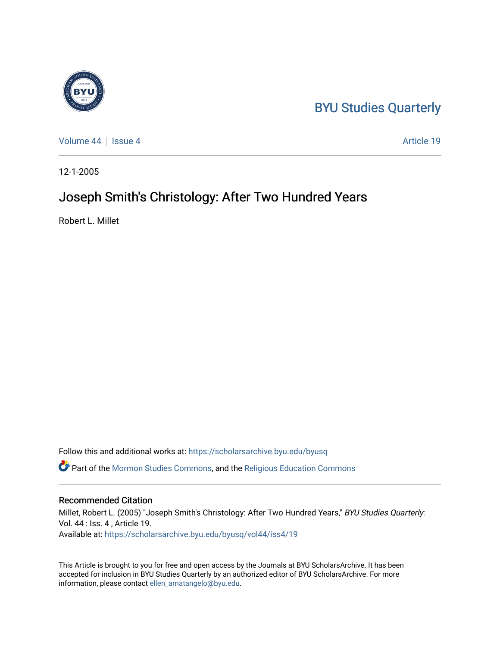# [BYU Studies Quarterly](https://scholarsarchive.byu.edu/byusq)

[Volume 44](https://scholarsarchive.byu.edu/byusq/vol44) | [Issue 4](https://scholarsarchive.byu.edu/byusq/vol44/iss4) Article 19

12-1-2005

# Joseph Smith's Christology: After Two Hundred Years

Robert L. Millet

Follow this and additional works at: [https://scholarsarchive.byu.edu/byusq](https://scholarsarchive.byu.edu/byusq?utm_source=scholarsarchive.byu.edu%2Fbyusq%2Fvol44%2Fiss4%2F19&utm_medium=PDF&utm_campaign=PDFCoverPages) 

Part of the [Mormon Studies Commons](http://network.bepress.com/hgg/discipline/1360?utm_source=scholarsarchive.byu.edu%2Fbyusq%2Fvol44%2Fiss4%2F19&utm_medium=PDF&utm_campaign=PDFCoverPages), and the [Religious Education Commons](http://network.bepress.com/hgg/discipline/1414?utm_source=scholarsarchive.byu.edu%2Fbyusq%2Fvol44%2Fiss4%2F19&utm_medium=PDF&utm_campaign=PDFCoverPages) 

## Recommended Citation

Millet, Robert L. (2005) "Joseph Smith's Christology: After Two Hundred Years," BYU Studies Quarterly: Vol. 44 : Iss. 4 , Article 19. Available at: [https://scholarsarchive.byu.edu/byusq/vol44/iss4/19](https://scholarsarchive.byu.edu/byusq/vol44/iss4/19?utm_source=scholarsarchive.byu.edu%2Fbyusq%2Fvol44%2Fiss4%2F19&utm_medium=PDF&utm_campaign=PDFCoverPages) 

This Article is brought to you for free and open access by the Journals at BYU ScholarsArchive. It has been accepted for inclusion in BYU Studies Quarterly by an authorized editor of BYU ScholarsArchive. For more information, please contact [ellen\\_amatangelo@byu.edu.](mailto:ellen_amatangelo@byu.edu)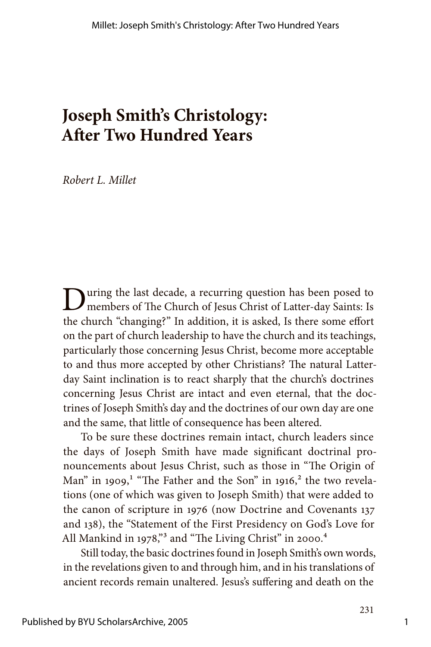# **Joseph Smith's Christology: After Two Hundred Years**

*Robert L. Millet*

During the last decade, a recurring question has been posed to members of The Church of Jesus Christ of Latter-day Saints: Is the church "changing?" In addition, it is asked, Is there some effort on the part of church leadership to have the church and its teachings, particularly those concerning Jesus Christ, become more acceptable to and thus more accepted by other Christians? The natural Latterday Saint inclination is to react sharply that the church's doctrines concerning Jesus Christ are intact and even eternal, that the doctrines of Joseph Smith's day and the doctrines of our own day are one and the same, that little of consequence has been altered.

 To be sure these doctrines remain intact, church leaders since the days of Joseph Smith have made significant doctrinal pronouncements about Jesus Christ, such as those in "The Origin of Man" in 1909,<sup>1</sup> "The Father and the Son" in 1916,<sup>2</sup> the two revelations (one of which was given to Joseph Smith) that were added to the canon of scripture in 1976 (now Doctrine and Covenants 137 and 38), the "Statement of the First Presidency on God's Love for All Mankind in 1978,"<sup>3</sup> and "The Living Christ" in 2000.<sup>4</sup>

 Still today, the basic doctrines found in Joseph Smith's own words, in the revelations given to and through him, and in his translations of ancient records remain unaltered. Jesus's suffering and death on the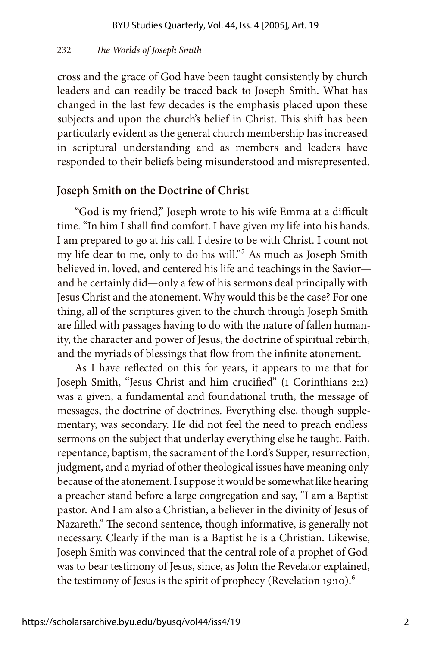cross and the grace of God have been taught consistently by church leaders and can readily be traced back to Joseph Smith. What has changed in the last few decades is the emphasis placed upon these subjects and upon the church's belief in Christ. This shift has been particularly evident as the general church membership has increased in scriptural understanding and as members and leaders have responded to their beliefs being misunderstood and misrepresented.

## **Joseph Smith on the Doctrine of Christ**

 "God is my friend," Joseph wrote to his wife Emma at a difficult time. "In him I shall find comfort. I have given my life into his hands. I am prepared to go at his call. I desire to be with Christ. I count not my life dear to me, only to do his will."<sup>5</sup> As much as Joseph Smith believed in, loved, and centered his life and teachings in the Savior and he certainly did—only a few of his sermons deal principally with Jesus Christ and the atonement. Why would this be the case? For one thing, all of the scriptures given to the church through Joseph Smith are filled with passages having to do with the nature of fallen humanity, the character and power of Jesus, the doctrine of spiritual rebirth, and the myriads of blessings that flow from the infinite atonement.

 As I have reflected on this for years, it appears to me that for Joseph Smith, "Jesus Christ and him crucified" (1 Corinthians 2:2) was a given, a fundamental and foundational truth, the message of messages, the doctrine of doctrines. Everything else, though supplementary, was secondary. He did not feel the need to preach endless sermons on the subject that underlay everything else he taught. Faith, repentance, baptism, the sacrament of the Lord's Supper, resurrection, judgment, and a myriad of other theological issues have meaning only because of the atonement. I suppose it would be somewhat like hearing a preacher stand before a large congregation and say, "I am a Baptist pastor. And I am also a Christian, a believer in the divinity of Jesus of Nazareth." The second sentence, though informative, is generally not necessary. Clearly if the man is a Baptist he is a Christian. Likewise, Joseph Smith was convinced that the central role of a prophet of God was to bear testimony of Jesus, since, as John the Revelator explained, the testimony of Jesus is the spirit of prophecy (Revelation 19:10).<sup>6</sup>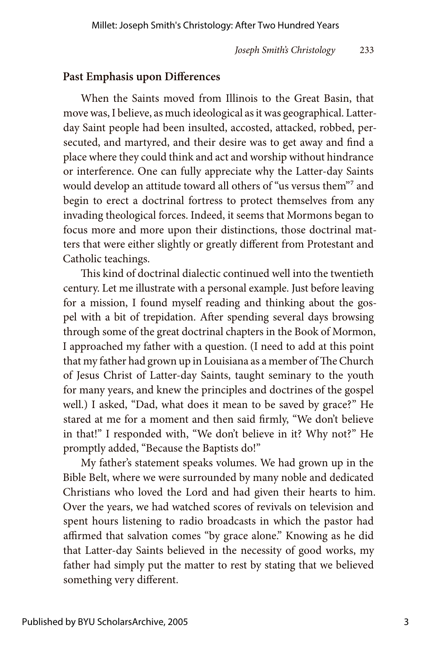#### *Joseph Smith's Christology* 233

### **Past Emphasis upon Differences**

 When the Saints moved from Illinois to the Great Basin, that move was, I believe, as much ideological as it was geographical. Latterday Saint people had been insulted, accosted, attacked, robbed, persecuted, and martyred, and their desire was to get away and find a place where they could think and act and worship without hindrance or interference. One can fully appreciate why the Latter-day Saints would develop an attitude toward all others of "us versus them"<sup>7</sup> and begin to erect a doctrinal fortress to protect themselves from any invading theological forces. Indeed, it seems that Mormons began to focus more and more upon their distinctions, those doctrinal matters that were either slightly or greatly different from Protestant and Catholic teachings.

 This kind of doctrinal dialectic continued well into the twentieth century. Let me illustrate with a personal example. Just before leaving for a mission, I found myself reading and thinking about the gospel with a bit of trepidation. After spending several days browsing through some of the great doctrinal chapters in the Book of Mormon, I approached my father with a question. (I need to add at this point that my father had grown up in Louisiana as a member of The Church of Jesus Christ of Latter-day Saints, taught seminary to the youth for many years, and knew the principles and doctrines of the gospel well.) I asked, "Dad, what does it mean to be saved by grace?" He stared at me for a moment and then said firmly, "We don't believe in that!" I responded with, "We don't believe in it? Why not?" He promptly added, "Because the Baptists do!"

 My father's statement speaks volumes. We had grown up in the Bible Belt, where we were surrounded by many noble and dedicated Christians who loved the Lord and had given their hearts to him. Over the years, we had watched scores of revivals on television and spent hours listening to radio broadcasts in which the pastor had affirmed that salvation comes "by grace alone." Knowing as he did that Latter-day Saints believed in the necessity of good works, my father had simply put the matter to rest by stating that we believed something very different.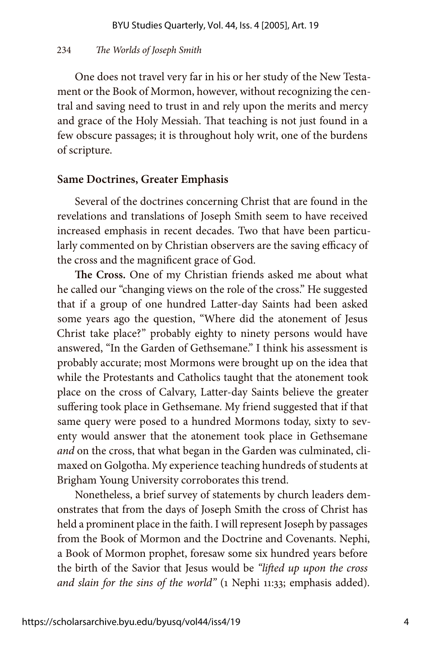One does not travel very far in his or her study of the New Testament or the Book of Mormon, however, without recognizing the central and saving need to trust in and rely upon the merits and mercy and grace of the Holy Messiah. That teaching is not just found in a few obscure passages; it is throughout holy writ, one of the burdens of scripture.

### **Same Doctrines, Greater Emphasis**

 Several of the doctrines concerning Christ that are found in the revelations and translations of Joseph Smith seem to have received increased emphasis in recent decades. Two that have been particularly commented on by Christian observers are the saving efficacy of the cross and the magnificent grace of God.

**The Cross.** One of my Christian friends asked me about what he called our "changing views on the role of the cross." He suggested that if a group of one hundred Latter-day Saints had been asked some years ago the question, "Where did the atonement of Jesus Christ take place?" probably eighty to ninety persons would have answered, "In the Garden of Gethsemane." I think his assessment is probably accurate; most Mormons were brought up on the idea that while the Protestants and Catholics taught that the atonement took place on the cross of Calvary, Latter-day Saints believe the greater suffering took place in Gethsemane. My friend suggested that if that same query were posed to a hundred Mormons today, sixty to seventy would answer that the atonement took place in Gethsemane *and* on the cross, that what began in the Garden was culminated, climaxed on Golgotha. My experience teaching hundreds of students at Brigham Young University corroborates this trend.

 Nonetheless, a brief survey of statements by church leaders demonstrates that from the days of Joseph Smith the cross of Christ has held a prominent place in the faith. I will represent Joseph by passages from the Book of Mormon and the Doctrine and Covenants. Nephi, a Book of Mormon prophet, foresaw some six hundred years before the birth of the Savior that Jesus would be *"lifted up upon the cross*  and slain for the sins of the world" (1 Nephi 11:33; emphasis added).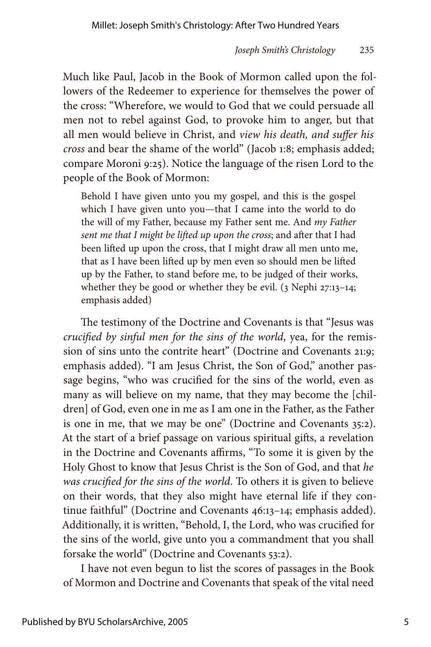Much like Paul, Jacob in the Book of Mormon called upon the followers of the Redeemer to experience for themselves the power of the cross: "Wherefore, we would to God that we could persuade all men not to rebel against God, to provoke him to anger, but that all men would believe in Christ, and *view his death, and suffer his cross* and bear the shame of the world" (Jacob 1:8; emphasis added; compare Moroni 9:25). Notice the language of the risen Lord to the people of the Book of Mormon:

Behold I have given unto you my gospel, and this is the gospel which I have given unto you—that I came into the world to do the will of my Father, because my Father sent me. And *my Father sent me that I might be lifted up upon the cross*; and after that I had been lifted up upon the cross, that I might draw all men unto me, that as I have been lifted up by men even so should men be lifted up by the Father, to stand before me, to be judged of their works, whether they be good or whether they be evil. (3 Nephi 27:13-14; emphasis added)

 The testimony of the Doctrine and Covenants is that "Jesus was *crucified by sinful men for the sins of the world*, yea, for the remission of sins unto the contrite heart" (Doctrine and Covenants 21:9; emphasis added). "I am Jesus Christ, the Son of God," another passage begins, "who was crucified for the sins of the world, even as many as will believe on my name, that they may become the [children] of God, even one in me as I am one in the Father, as the Father is one in me, that we may be one" (Doctrine and Covenants 35:2). At the start of a brief passage on various spiritual gifts, a revelation in the Doctrine and Covenants affirms, "To some it is given by the Holy Ghost to know that Jesus Christ is the Son of God, and that *he was crucified for the sins of the world*. To others it is given to believe on their words, that they also might have eternal life if they continue faithful" (Doctrine and Covenants 46:13-14; emphasis added). Additionally, it is written, "Behold, I, the Lord, who was crucified for the sins of the world, give unto you a commandment that you shall forsake the world" (Doctrine and Covenants 53:2).

 I have not even begun to list the scores of passages in the Book of Mormon and Doctrine and Covenants that speak of the vital need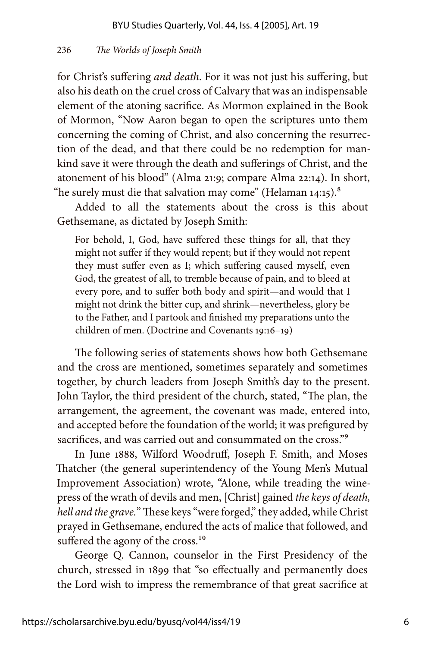for Christ's suffering *and death*. For it was not just his suffering, but also his death on the cruel cross of Calvary that was an indispensable element of the atoning sacrifice. As Mormon explained in the Book of Mormon, "Now Aaron began to open the scriptures unto them concerning the coming of Christ, and also concerning the resurrection of the dead, and that there could be no redemption for mankind save it were through the death and sufferings of Christ, and the atonement of his blood" (Alma 21:9; compare Alma 22:14). In short, "he surely must die that salvation may come" (Helaman  $14:15$ ). $^{8}$ 

 Added to all the statements about the cross is this about Gethsemane, as dictated by Joseph Smith:

For behold, I, God, have suffered these things for all, that they might not suffer if they would repent; but if they would not repent they must suffer even as I; which suffering caused myself, even God, the greatest of all, to tremble because of pain, and to bleed at every pore, and to suffer both body and spirit—and would that I might not drink the bitter cup, and shrink—nevertheless, glory be to the Father, and I partook and finished my preparations unto the children of men. (Doctrine and Covenants  $19:16-19$ )

 The following series of statements shows how both Gethsemane and the cross are mentioned, sometimes separately and sometimes together, by church leaders from Joseph Smith's day to the present. John Taylor, the third president of the church, stated, "The plan, the arrangement, the agreement, the covenant was made, entered into, and accepted before the foundation of the world; it was prefigured by sacrifices, and was carried out and consummated on the cross."<sup>9</sup>

In June 1888, Wilford Woodruff, Joseph F. Smith, and Moses Thatcher (the general superintendency of the Young Men's Mutual Improvement Association) wrote, "Alone, while treading the winepress of the wrath of devils and men, [Christ] gained *the keys of death, hell and the grave.*" These keys "were forged," they added, while Christ prayed in Gethsemane, endured the acts of malice that followed, and suffered the agony of the cross.<sup>10</sup>

 George Q. Cannon, counselor in the First Presidency of the church, stressed in 1899 that "so effectually and permanently does the Lord wish to impress the remembrance of that great sacrifice at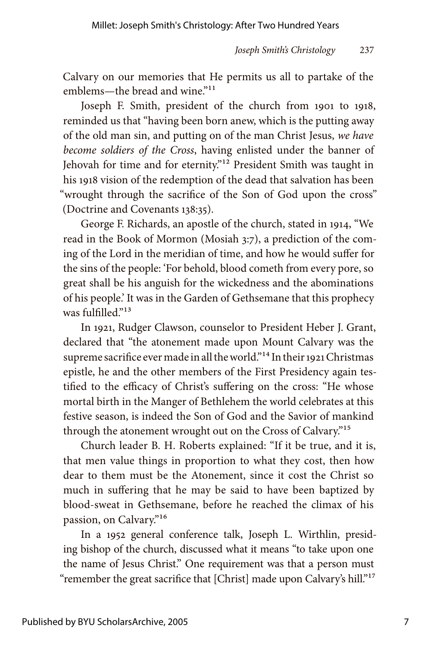Calvary on our memories that He permits us all to partake of the emblems—the bread and wine."<sup>11</sup>

Joseph F. Smith, president of the church from 1901 to 1918, reminded us that "having been born anew, which is the putting away of the old man sin, and putting on of the man Christ Jesus, *we have become soldiers of the Cross*, having enlisted under the banner of Jehovah for time and for eternity."<sup>12</sup> President Smith was taught in his 1918 vision of the redemption of the dead that salvation has been "wrought through the sacrifice of the Son of God upon the cross" (Doctrine and Covenants 138:35).

George F. Richards, an apostle of the church, stated in 1914, "We read in the Book of Mormon (Mosiah 3:7), a prediction of the coming of the Lord in the meridian of time, and how he would suffer for the sins of the people: 'For behold, blood cometh from every pore, so great shall be his anguish for the wickedness and the abominations of his people.' It was in the Garden of Gethsemane that this prophecy was fulfilled." $13$ 

In 1921, Rudger Clawson, counselor to President Heber J. Grant, declared that "the atonement made upon Mount Calvary was the supreme sacrifice ever made in all the world."<sup>14</sup> In their 1921 Christmas epistle, he and the other members of the First Presidency again testified to the efficacy of Christ's suffering on the cross: "He whose mortal birth in the Manger of Bethlehem the world celebrates at this festive season, is indeed the Son of God and the Savior of mankind through the atonement wrought out on the Cross of Calvary."<sup>15</sup>

 Church leader B. H. Roberts explained: "If it be true, and it is, that men value things in proportion to what they cost, then how dear to them must be the Atonement, since it cost the Christ so much in suffering that he may be said to have been baptized by blood-sweat in Gethsemane, before he reached the climax of his passion, on Calvary."<sup>16</sup>

In a 1952 general conference talk, Joseph L. Wirthlin, presiding bishop of the church, discussed what it means "to take upon one the name of Jesus Christ." One requirement was that a person must "remember the great sacrifice that [Christ] made upon Calvary's hill."<sup>17</sup>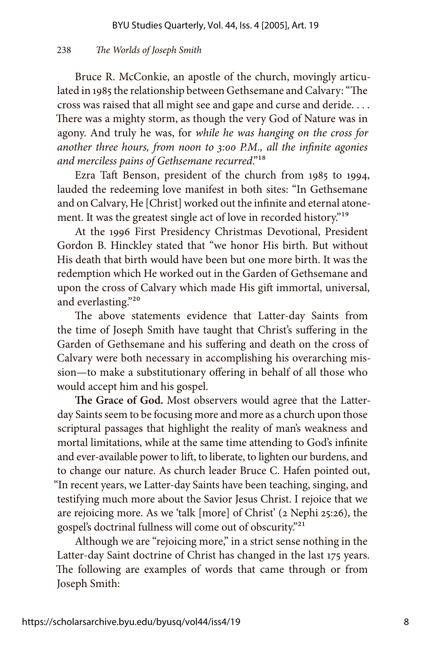Bruce R. McConkie, an apostle of the church, movingly articulated in 1985 the relationship between Gethsemane and Calvary: "The cross was raised that all might see and gape and curse and deride. . . . There was a mighty storm, as though the very God of Nature was in agony. And truly he was, for *while he was hanging on the cross for another three hours, from noon to 3:00 P.M., all the infinite agonies*  and merciless pains of Gethsemane recurred."<sup>18</sup>

Ezra Taft Benson, president of the church from 1985 to 1994, lauded the redeeming love manifest in both sites: "In Gethsemane and on Calvary, He [Christ] worked out the infinite and eternal atonement. It was the greatest single act of love in recorded history."<sup>19</sup>

 At the 996 First Presidency Christmas Devotional, President Gordon B. Hinckley stated that "we honor His birth. But without His death that birth would have been but one more birth. It was the redemption which He worked out in the Garden of Gethsemane and upon the cross of Calvary which made His gift immortal, universal, and everlasting."20

 The above statements evidence that Latter-day Saints from the time of Joseph Smith have taught that Christ's suffering in the Garden of Gethsemane and his suffering and death on the cross of Calvary were both necessary in accomplishing his overarching mission—to make a substitutionary offering in behalf of all those who would accept him and his gospel.

**The Grace of God.** Most observers would agree that the Latterday Saints seem to be focusing more and more as a church upon those scriptural passages that highlight the reality of man's weakness and mortal limitations, while at the same time attending to God's infinite and ever-available power to lift, to liberate, to lighten our burdens, and to change our nature. As church leader Bruce C. Hafen pointed out, "In recent years, we Latter-day Saints have been teaching, singing, and testifying much more about the Savior Jesus Christ. I rejoice that we are rejoicing more. As we 'talk [more] of Christ' (2 Nephi 25:26), the gospel's doctrinal fullness will come out of obscurity."<sup>21</sup>

 Although we are "rejoicing more," in a strict sense nothing in the Latter-day Saint doctrine of Christ has changed in the last 175 years. The following are examples of words that came through or from Joseph Smith: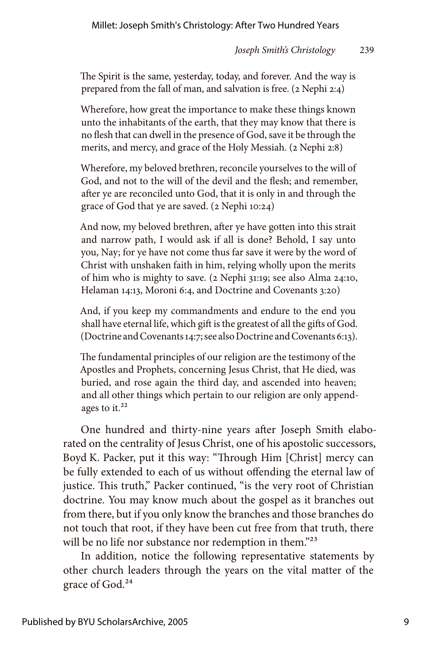The Spirit is the same, yesterday, today, and forever. And the way is prepared from the fall of man, and salvation is free. (2 Nephi 2:4)

Wherefore, how great the importance to make these things known unto the inhabitants of the earth, that they may know that there is no flesh that can dwell in the presence of God, save it be through the merits, and mercy, and grace of the Holy Messiah. (2 Nephi 2:8)

Wherefore, my beloved brethren, reconcile yourselves to the will of God, and not to the will of the devil and the flesh; and remember, after ye are reconciled unto God, that it is only in and through the grace of God that ye are saved.  $(2$  Nephi 10:24)

And now, my beloved brethren, after ye have gotten into this strait and narrow path, I would ask if all is done? Behold, I say unto you, Nay; for ye have not come thus far save it were by the word of Christ with unshaken faith in him, relying wholly upon the merits of him who is mighty to save. (2 Nephi 31:19; see also Alma 24:10, Helaman 14:13, Moroni 6:4, and Doctrine and Covenants 3:20)

And, if you keep my commandments and endure to the end you shall have eternal life, which gift is the greatest of all the gifts of God. (Doctrine and Covenants 4:7; see also Doctrine and Covenants 6:3).

The fundamental principles of our religion are the testimony of the Apostles and Prophets, concerning Jesus Christ, that He died, was buried, and rose again the third day, and ascended into heaven; and all other things which pertain to our religion are only appendages to it. $^{22}$ 

 One hundred and thirty-nine years after Joseph Smith elaborated on the centrality of Jesus Christ, one of his apostolic successors, Boyd K. Packer, put it this way: "Through Him [Christ] mercy can be fully extended to each of us without offending the eternal law of justice. This truth," Packer continued, "is the very root of Christian doctrine. You may know much about the gospel as it branches out from there, but if you only know the branches and those branches do not touch that root, if they have been cut free from that truth, there will be no life nor substance nor redemption in them."23

 In addition, notice the following representative statements by other church leaders through the years on the vital matter of the grace of God.<sup>24</sup>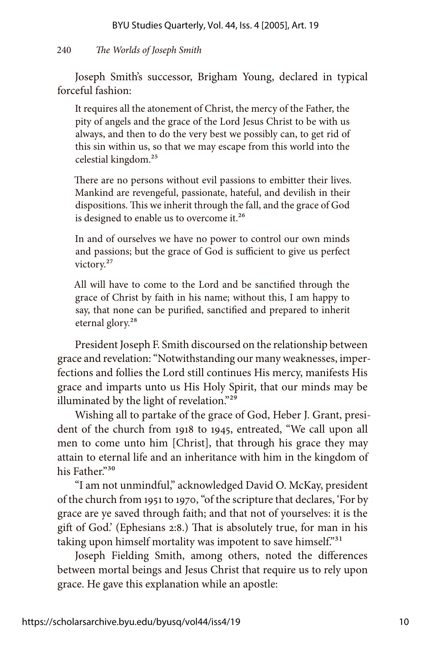Joseph Smith's successor, Brigham Young, declared in typical forceful fashion:

It requires all the atonement of Christ, the mercy of the Father, the pity of angels and the grace of the Lord Jesus Christ to be with us always, and then to do the very best we possibly can, to get rid of this sin within us, so that we may escape from this world into the celestial kingdom.<sup>25</sup>

There are no persons without evil passions to embitter their lives. Mankind are revengeful, passionate, hateful, and devilish in their dispositions. This we inherit through the fall, and the grace of God is designed to enable us to overcome it.<sup>26</sup>

In and of ourselves we have no power to control our own minds and passions; but the grace of God is sufficient to give us perfect victory.<sup>27</sup>

All will have to come to the Lord and be sanctified through the grace of Christ by faith in his name; without this, I am happy to say, that none can be purified, sanctified and prepared to inherit eternal glory.<sup>28</sup>

 President Joseph F. Smith discoursed on the relationship between grace and revelation: "Notwithstanding our many weaknesses, imperfections and follies the Lord still continues His mercy, manifests His grace and imparts unto us His Holy Spirit, that our minds may be illuminated by the light of revelation."<sup>29</sup>

 Wishing all to partake of the grace of God, Heber J. Grant, president of the church from 1918 to 1945, entreated, "We call upon all men to come unto him [Christ], that through his grace they may attain to eternal life and an inheritance with him in the kingdom of his Father."30

 "I am not unmindful," acknowledged David O. McKay, president of the church from 1951 to 1970, "of the scripture that declares, 'For by grace are ye saved through faith; and that not of yourselves: it is the gift of God.' (Ephesians 2:8.) That is absolutely true, for man in his taking upon himself mortality was impotent to save himself."<sup>31</sup>

 Joseph Fielding Smith, among others, noted the differences between mortal beings and Jesus Christ that require us to rely upon grace. He gave this explanation while an apostle: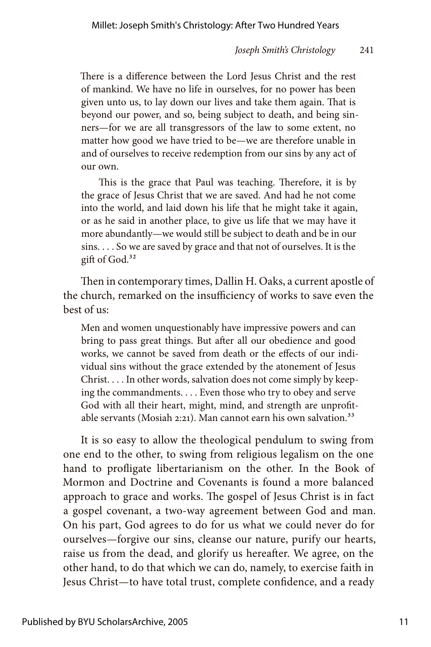There is a difference between the Lord Jesus Christ and the rest of mankind. We have no life in ourselves, for no power has been given unto us, to lay down our lives and take them again. That is beyond our power, and so, being subject to death, and being sinners—for we are all transgressors of the law to some extent, no matter how good we have tried to be—we are therefore unable in and of ourselves to receive redemption from our sins by any act of our own.

 This is the grace that Paul was teaching. Therefore, it is by the grace of Jesus Christ that we are saved. And had he not come into the world, and laid down his life that he might take it again, or as he said in another place, to give us life that we may have it more abundantly—we would still be subject to death and be in our sins. . . . So we are saved by grace and that not of ourselves. It is the gift of  $God.^{32}$ 

 Then in contemporary times, Dallin H. Oaks, a current apostle of the church, remarked on the insufficiency of works to save even the best of us:

Men and women unquestionably have impressive powers and can bring to pass great things. But after all our obedience and good works, we cannot be saved from death or the effects of our individual sins without the grace extended by the atonement of Jesus Christ. . . . In other words, salvation does not come simply by keeping the commandments. . . . Even those who try to obey and serve God with all their heart, might, mind, and strength are unprofitable servants (Mosiah 2:21). Man cannot earn his own salvation.<sup>33</sup>

 It is so easy to allow the theological pendulum to swing from one end to the other, to swing from religious legalism on the one hand to profligate libertarianism on the other. In the Book of Mormon and Doctrine and Covenants is found a more balanced approach to grace and works. The gospel of Jesus Christ is in fact a gospel covenant, a two-way agreement between God and man. On his part, God agrees to do for us what we could never do for ourselves—forgive our sins, cleanse our nature, purify our hearts, raise us from the dead, and glorify us hereafter. We agree, on the other hand, to do that which we can do, namely, to exercise faith in Jesus Christ—to have total trust, complete confidence, and a ready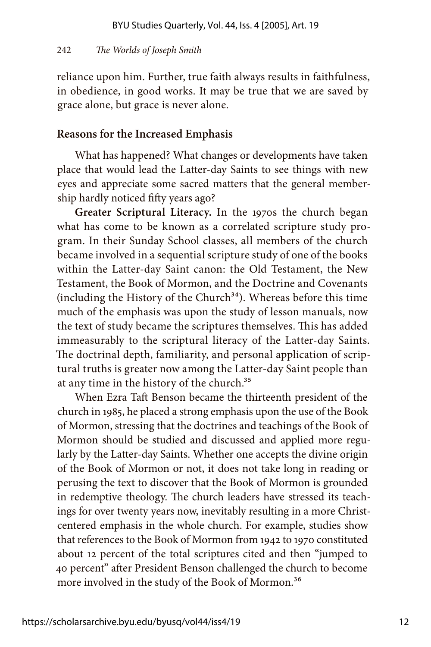reliance upon him. Further, true faith always results in faithfulness, in obedience, in good works. It may be true that we are saved by grace alone, but grace is never alone.

## **Reasons for the Increased Emphasis**

 What has happened? What changes or developments have taken place that would lead the Latter-day Saints to see things with new eyes and appreciate some sacred matters that the general membership hardly noticed fifty years ago?

Greater Scriptural Literacy. In the 1970s the church began what has come to be known as a correlated scripture study program. In their Sunday School classes, all members of the church became involved in a sequential scripture study of one of the books within the Latter-day Saint canon: the Old Testament, the New Testament, the Book of Mormon, and the Doctrine and Covenants (including the History of the Church<sup>34</sup>). Whereas before this time much of the emphasis was upon the study of lesson manuals, now the text of study became the scriptures themselves. This has added immeasurably to the scriptural literacy of the Latter-day Saints. The doctrinal depth, familiarity, and personal application of scriptural truths is greater now among the Latter-day Saint people than at any time in the history of the church.<sup>35</sup>

 When Ezra Taft Benson became the thirteenth president of the church in 985, he placed a strong emphasis upon the use of the Book of Mormon, stressing that the doctrines and teachings of the Book of Mormon should be studied and discussed and applied more regularly by the Latter-day Saints. Whether one accepts the divine origin of the Book of Mormon or not, it does not take long in reading or perusing the text to discover that the Book of Mormon is grounded in redemptive theology. The church leaders have stressed its teachings for over twenty years now, inevitably resulting in a more Christcentered emphasis in the whole church. For example, studies show that references to the Book of Mormon from 1942 to 1970 constituted about 12 percent of the total scriptures cited and then "jumped to 40 percent" after President Benson challenged the church to become more involved in the study of the Book of Mormon.<sup>36</sup>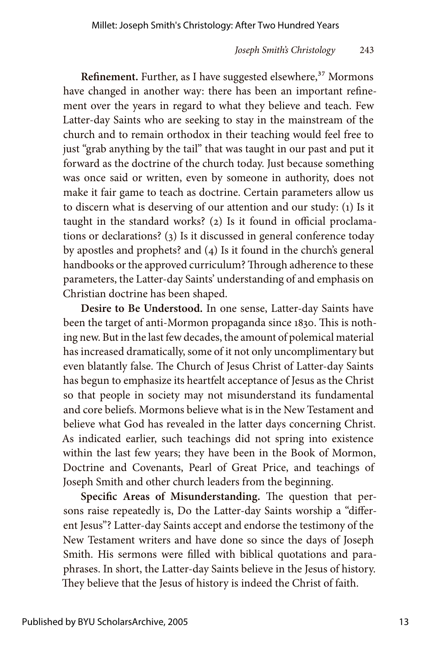#### *Joseph Smith's Christology* 243

Refinement. Further, as I have suggested elsewhere,<sup>37</sup> Mormons have changed in another way: there has been an important refinement over the years in regard to what they believe and teach. Few Latter-day Saints who are seeking to stay in the mainstream of the church and to remain orthodox in their teaching would feel free to just "grab anything by the tail" that was taught in our past and put it forward as the doctrine of the church today. Just because something was once said or written, even by someone in authority, does not make it fair game to teach as doctrine. Certain parameters allow us to discern what is deserving of our attention and our study: (1) Is it taught in the standard works? (2) Is it found in official proclamations or declarations? (3) Is it discussed in general conference today by apostles and prophets? and (4) Is it found in the church's general handbooks or the approved curriculum? Through adherence to these parameters, the Latter-day Saints' understanding of and emphasis on Christian doctrine has been shaped.

**Desire to Be Understood.** In one sense, Latter-day Saints have been the target of anti-Mormon propaganda since 1830. This is nothing new. But in the last few decades, the amount of polemical material has increased dramatically, some of it not only uncomplimentary but even blatantly false. The Church of Jesus Christ of Latter-day Saints has begun to emphasize its heartfelt acceptance of Jesus as the Christ so that people in society may not misunderstand its fundamental and core beliefs. Mormons believe what is in the New Testament and believe what God has revealed in the latter days concerning Christ. As indicated earlier, such teachings did not spring into existence within the last few years; they have been in the Book of Mormon, Doctrine and Covenants, Pearl of Great Price, and teachings of Joseph Smith and other church leaders from the beginning.

**Specific Areas of Misunderstanding.** The question that persons raise repeatedly is, Do the Latter-day Saints worship a "different Jesus"? Latter-day Saints accept and endorse the testimony of the New Testament writers and have done so since the days of Joseph Smith. His sermons were filled with biblical quotations and paraphrases. In short, the Latter-day Saints believe in the Jesus of history. They believe that the Jesus of history is indeed the Christ of faith.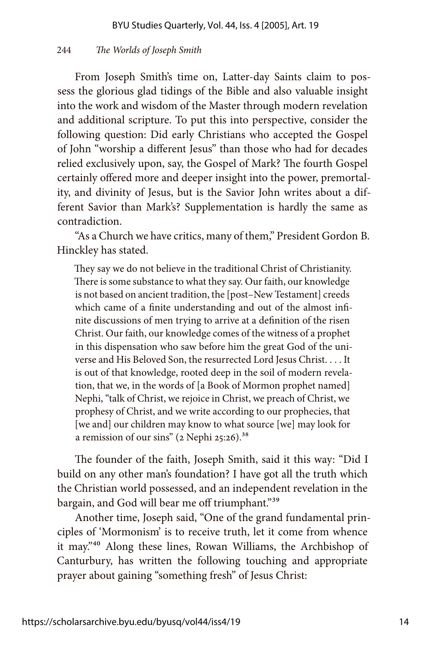From Joseph Smith's time on, Latter-day Saints claim to possess the glorious glad tidings of the Bible and also valuable insight into the work and wisdom of the Master through modern revelation and additional scripture. To put this into perspective, consider the following question: Did early Christians who accepted the Gospel of John "worship a different Jesus" than those who had for decades relied exclusively upon, say, the Gospel of Mark? The fourth Gospel certainly offered more and deeper insight into the power, premortality, and divinity of Jesus, but is the Savior John writes about a different Savior than Mark's? Supplementation is hardly the same as contradiction.

 "As a Church we have critics, many of them," President Gordon B. Hinckley has stated.

They say we do not believe in the traditional Christ of Christianity. There is some substance to what they say. Our faith, our knowledge is not based on ancient tradition, the [post–New Testament] creeds which came of a finite understanding and out of the almost infinite discussions of men trying to arrive at a definition of the risen Christ. Our faith, our knowledge comes of the witness of a prophet in this dispensation who saw before him the great God of the universe and His Beloved Son, the resurrected Lord Jesus Christ. . . . It is out of that knowledge, rooted deep in the soil of modern revelation, that we, in the words of [a Book of Mormon prophet named] Nephi, "talk of Christ, we rejoice in Christ, we preach of Christ, we prophesy of Christ, and we write according to our prophecies, that [we and] our children may know to what source [we] may look for a remission of our sins" ( $2$  Nephi  $25:26$ ).<sup>38</sup>

 The founder of the faith, Joseph Smith, said it this way: "Did I build on any other man's foundation? I have got all the truth which the Christian world possessed, and an independent revelation in the bargain, and God will bear me off triumphant."<sup>39</sup>

 Another time, Joseph said, "One of the grand fundamental principles of 'Mormonism' is to receive truth, let it come from whence it may.<sup>"40</sup> Along these lines, Rowan Williams, the Archbishop of Canturbury, has written the following touching and appropriate prayer about gaining "something fresh" of Jesus Christ: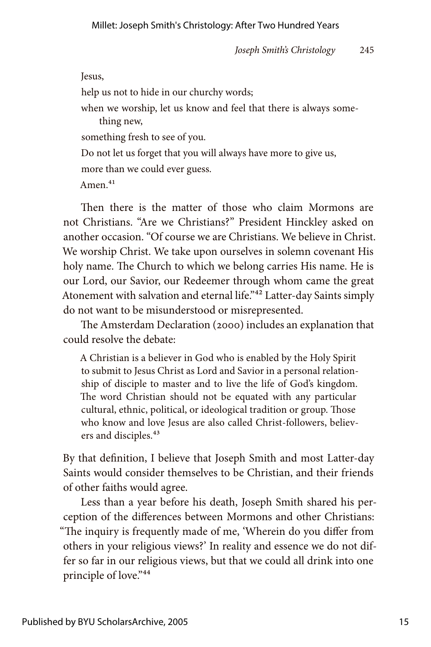*Joseph Smith's Christology* 245

Jesus,

help us not to hide in our churchy words;

when we worship, let us know and feel that there is always something new,

something fresh to see of you.

Do not let us forget that you will always have more to give us,

more than we could ever guess.

Amen. $41$ 

 Then there is the matter of those who claim Mormons are not Christians. "Are we Christians?" President Hinckley asked on another occasion. "Of course we are Christians. We believe in Christ. We worship Christ. We take upon ourselves in solemn covenant His holy name. The Church to which we belong carries His name. He is our Lord, our Savior, our Redeemer through whom came the great Atonement with salvation and eternal life."<sup>42</sup> Latter-day Saints simply do not want to be misunderstood or misrepresented.

 The Amsterdam Declaration (2000) includes an explanation that could resolve the debate:

A Christian is a believer in God who is enabled by the Holy Spirit to submit to Jesus Christ as Lord and Savior in a personal relationship of disciple to master and to live the life of God's kingdom. The word Christian should not be equated with any particular cultural, ethnic, political, or ideological tradition or group. Those who know and love Jesus are also called Christ-followers, believers and disciples.<sup>43</sup>

By that definition, I believe that Joseph Smith and most Latter-day Saints would consider themselves to be Christian, and their friends of other faiths would agree.

 Less than a year before his death, Joseph Smith shared his perception of the differences between Mormons and other Christians: "The inquiry is frequently made of me, 'Wherein do you differ from others in your religious views?' In reality and essence we do not differ so far in our religious views, but that we could all drink into one principle of love."44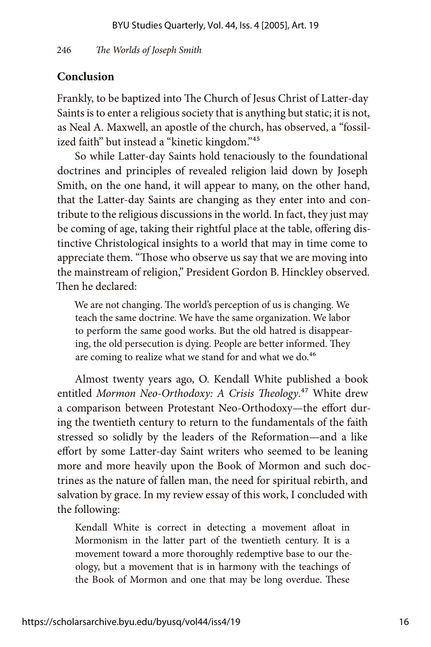## **Conclusion**

Frankly, to be baptized into The Church of Jesus Christ of Latter-day Saints is to enter a religious society that is anything but static; it is not, as Neal A. Maxwell, an apostle of the church, has observed, a "fossilized faith" but instead a "kinetic kingdom."<sup>45</sup>

 So while Latter-day Saints hold tenaciously to the foundational doctrines and principles of revealed religion laid down by Joseph Smith, on the one hand, it will appear to many, on the other hand, that the Latter-day Saints are changing as they enter into and contribute to the religious discussions in the world. In fact, they just may be coming of age, taking their rightful place at the table, offering distinctive Christological insights to a world that may in time come to appreciate them. "Those who observe us say that we are moving into the mainstream of religion," President Gordon B. Hinckley observed. Then he declared:

We are not changing. The world's perception of us is changing. We teach the same doctrine. We have the same organization. We labor to perform the same good works. But the old hatred is disappearing, the old persecution is dying. People are better informed. They are coming to realize what we stand for and what we do.<sup>46</sup>

 Almost twenty years ago, O. Kendall White published a book entitled *Mormon Neo-Orthodoxy: A Crisis Theology*.<sup>47</sup> White drew a comparison between Protestant Neo-Orthodoxy—the effort during the twentieth century to return to the fundamentals of the faith stressed so solidly by the leaders of the Reformation—and a like effort by some Latter-day Saint writers who seemed to be leaning more and more heavily upon the Book of Mormon and such doctrines as the nature of fallen man, the need for spiritual rebirth, and salvation by grace. In my review essay of this work, I concluded with the following:

Kendall White is correct in detecting a movement afloat in Mormonism in the latter part of the twentieth century. It is a movement toward a more thoroughly redemptive base to our theology, but a movement that is in harmony with the teachings of the Book of Mormon and one that may be long overdue. These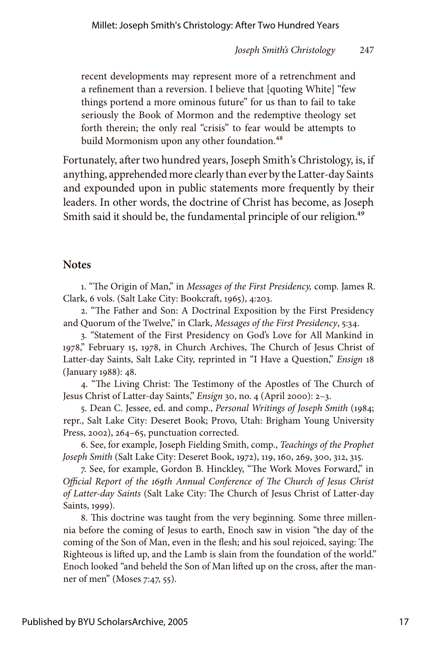recent developments may represent more of a retrenchment and a refinement than a reversion. I believe that [quoting White] "few things portend a more ominous future" for us than to fail to take seriously the Book of Mormon and the redemptive theology set forth therein; the only real "crisis" to fear would be attempts to build Mormonism upon any other foundation.<sup>48</sup>

Fortunately, after two hundred years, Joseph Smith's Christology, is, if anything, apprehended more clearly than ever by the Latter-day Saints and expounded upon in public statements more frequently by their leaders. In other words, the doctrine of Christ has become, as Joseph Smith said it should be, the fundamental principle of our religion.<sup>49</sup>

### **Notes**

 . "The Origin of Man," in *Messages of the First Presidency,* comp. James R. Clark, 6 vols. (Salt Lake City: Bookcraft, 1965), 4:203.

 2. "The Father and Son: A Doctrinal Exposition by the First Presidency and Quorum of the Twelve," in Clark, *Messages of the First Presidency*, 5:34.

 3. "Statement of the First Presidency on God's Love for All Mankind in 1978," February 15, 1978, in Church Archives, The Church of Jesus Christ of Latter-day Saints, Salt Lake City, reprinted in "I Have a Question," *Ensign* 18 (January 1988): 48.

 4. "The Living Christ: The Testimony of the Apostles of The Church of Jesus Christ of Latter-day Saints," *Ensign* 30, no. 4 (April 2000): 2–3.

 5. Dean C. Jessee, ed. and comp., *Personal Writings of Joseph Smith* (984; repr., Salt Lake City: Deseret Book; Provo, Utah: Brigham Young University Press, 2002), 264–65, punctuation corrected.

 6. See, for example, Joseph Fielding Smith, comp., *Teachings of the Prophet Joseph Smith* (Salt Lake City: Deseret Book, 1972), 119, 160, 269, 300, 312, 315.

 7. See, for example, Gordon B. Hinckley, "The Work Moves Forward," in *Official Report of the 69th Annual Conference of The Church of Jesus Christ of Latter-day Saints* (Salt Lake City: The Church of Jesus Christ of Latter-day Saints, 1999).

 8. This doctrine was taught from the very beginning. Some three millennia before the coming of Jesus to earth, Enoch saw in vision "the day of the coming of the Son of Man, even in the flesh; and his soul rejoiced, saying: The Righteous is lifted up, and the Lamb is slain from the foundation of the world." Enoch looked "and beheld the Son of Man lifted up on the cross, after the manner of men" (Moses 7:47, 55).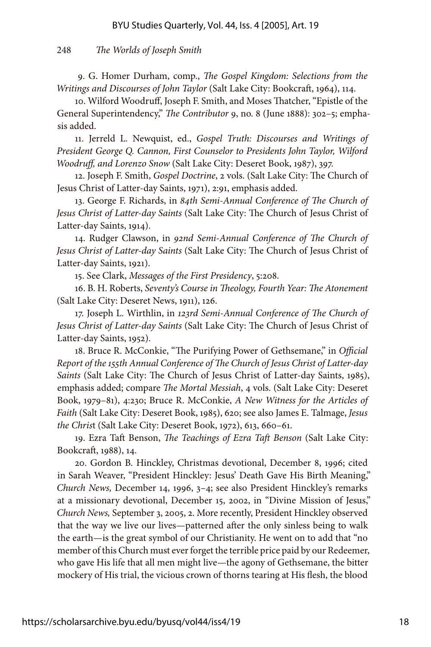9. G. Homer Durham, comp., *The Gospel Kingdom: Selections from the Writings and Discourses of John Taylor* (Salt Lake City: Bookcraft, 1964), 114.

 0. Wilford Woodruff, Joseph F. Smith, and Moses Thatcher, "Epistle of the General Superintendency," *The Contributor* 9, no. 8 (June 1888): 302-5; emphasis added.

 . Jerreld L. Newquist, ed., *Gospel Truth: Discourses and Writings of President George Q. Cannon, First Counselor to Presidents John Taylor, Wilford Woodruff, and Lorenzo Snow (Salt Lake City: Deseret Book, 1987), 397.* 

 2. Joseph F. Smith, *Gospel Doctrine*, 2 vols. (Salt Lake City: The Church of Jesus Christ of Latter-day Saints, 1971), 2:91, emphasis added.

 3. George F. Richards, in *84th Semi-Annual Conference of The Church of Jesus Christ of Latter-day Saints* (Salt Lake City: The Church of Jesus Christ of Latter-day Saints, 1914).

 4. Rudger Clawson, in *92nd Semi-Annual Conference of The Church of Jesus Christ of Latter-day Saints* (Salt Lake City: The Church of Jesus Christ of Latter-day Saints, 1921).

5. See Clark, *Messages of the First Presidency*, 5:208.

 6. B. H. Roberts, *Seventy's Course in Theology, Fourth Year: The Atonement* (Salt Lake City: Deseret News, 1911), 126.

 7. Joseph L. Wirthlin, in *23rd Semi-Annual Conference of The Church of Jesus Christ of Latter-day Saints* (Salt Lake City: The Church of Jesus Christ of Latter-day Saints, 1952).

 8. Bruce R. McConkie, "The Purifying Power of Gethsemane," in *Official Report of the 55th Annual Conference of The Church of Jesus Christ of Latter-day Saints* (Salt Lake City: The Church of Jesus Christ of Latter-day Saints, 1985), emphasis added; compare *The Mortal Messiah*, 4 vols. (Salt Lake City: Deseret Book, 979–8), 4:230; Bruce R. McConkie, *A New Witness for the Articles of Faith* (Salt Lake City: Deseret Book, 985), 620; see also James E. Talmage, *Jesus the Christ* (Salt Lake City: Deseret Book, 1972), 613, 660-61.

 9. Ezra Taft Benson, *The Teachings of Ezra Taft Benson* (Salt Lake City: Bookcraft, 1988), 14.

 20. Gordon B. Hinckley, Christmas devotional, December 8, 996; cited in Sarah Weaver, "President Hinckley: Jesus' Death Gave His Birth Meaning," *Church News,* December 4, 996, 3–4; see also President Hinckley's remarks at a missionary devotional, December 15, 2002, in "Divine Mission of Jesus," *Church News,* September 3, 2005, 2. More recently, President Hinckley observed that the way we live our lives—patterned after the only sinless being to walk the earth—is the great symbol of our Christianity. He went on to add that "no member of this Church must ever forget the terrible price paid by our Redeemer, who gave His life that all men might live—the agony of Gethsemane, the bitter mockery of His trial, the vicious crown of thorns tearing at His flesh, the blood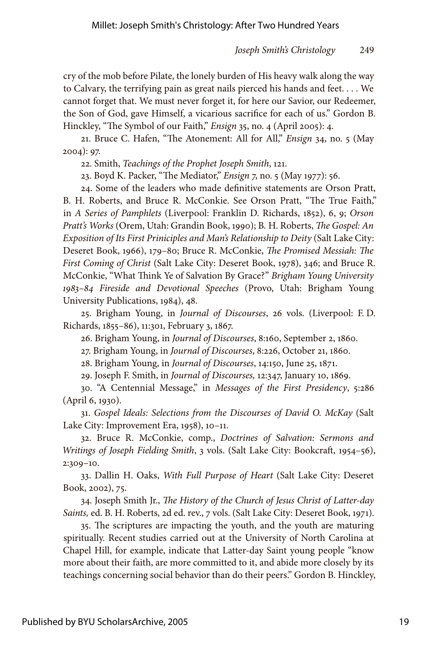cry of the mob before Pilate, the lonely burden of His heavy walk along the way to Calvary, the terrifying pain as great nails pierced his hands and feet. . . . We cannot forget that. We must never forget it, for here our Savior, our Redeemer, the Son of God, gave Himself, a vicarious sacrifice for each of us." Gordon B. Hinckley, "The Symbol of our Faith," *Ensign* 35, no. 4 (April 2005): 4.

 2. Bruce C. Hafen, "The Atonement: All for All," *Ensign* 34, no. 5 (May 2004): 97.

22. Smith, *Teachings of the Prophet Joseph Smith*, 121.

23. Boyd K. Packer, "The Mediator," *Ensign* 7, no. 5 (May 1977): 56.

 24. Some of the leaders who made definitive statements are Orson Pratt, B. H. Roberts, and Bruce R. McConkie. See Orson Pratt, "The True Faith," in *A Series of Pamphlets* (Liverpool: Franklin D. Richards, 852), 6, 9; *Orson Pratt's Works* (Orem, Utah: Grandin Book, 990); B. H. Roberts, *The Gospel: An Exposition of Its First Priniciples and Man's Relationship to Deity* (Salt Lake City: Deseret Book, 966), 79–80; Bruce R. McConkie, *The Promised Messiah: The First Coming of Christ* (Salt Lake City: Deseret Book, 1978), 346; and Bruce R. McConkie, "What Think Ye of Salvation By Grace?" *Brigham Young University 983–84 Fireside and Devotional Speeches* (Provo, Utah: Brigham Young University Publications, 1984), 48.

 25. Brigham Young, in *Journal of Discourses*, 26 vols. (Liverpool: F. D. Richards, 1855-86), 11:301, February 3, 1867.

26. Brigham Young, in *Journal of Discourses*, 8:60, September 2, 860.

27. Brigham Young, in *Journal of Discourses*, 8:226, October 21, 1860.

28. Brigham Young, in *Journal of Discourses*, 4:50, June 25, 87.

29. Joseph F. Smith, in *Journal of Discourses,* 2:347, January 0, 869.

 30. "A Centennial Message," in *Messages of the First Presidency*, 5:286  $(April 6, 1930).$ 

 3. *Gospel Ideals: Selections from the Discourses of David O. McKay* (Salt Lake City: Improvement Era,  $1958$ ),  $10-11$ .

 32. Bruce R. McConkie, comp., *Doctrines of Salvation: Sermons and Writings of Joseph Fielding Smith*, 3 vols. (Salt Lake City: Bookcraft, 954–56), 2:309–0.

 33. Dallin H. Oaks, *With Full Purpose of Heart* (Salt Lake City: Deseret Book, 2002), 75.

 34. Joseph Smith Jr., *The History of the Church of Jesus Christ of Latter-day*  Saints, ed. B. H. Roberts, 2d ed. rev., 7 vols. (Salt Lake City: Deseret Book, 1971).

 35. The scriptures are impacting the youth, and the youth are maturing spiritually. Recent studies carried out at the University of North Carolina at Chapel Hill, for example, indicate that Latter-day Saint young people "know more about their faith, are more committed to it, and abide more closely by its teachings concerning social behavior than do their peers." Gordon B. Hinckley,